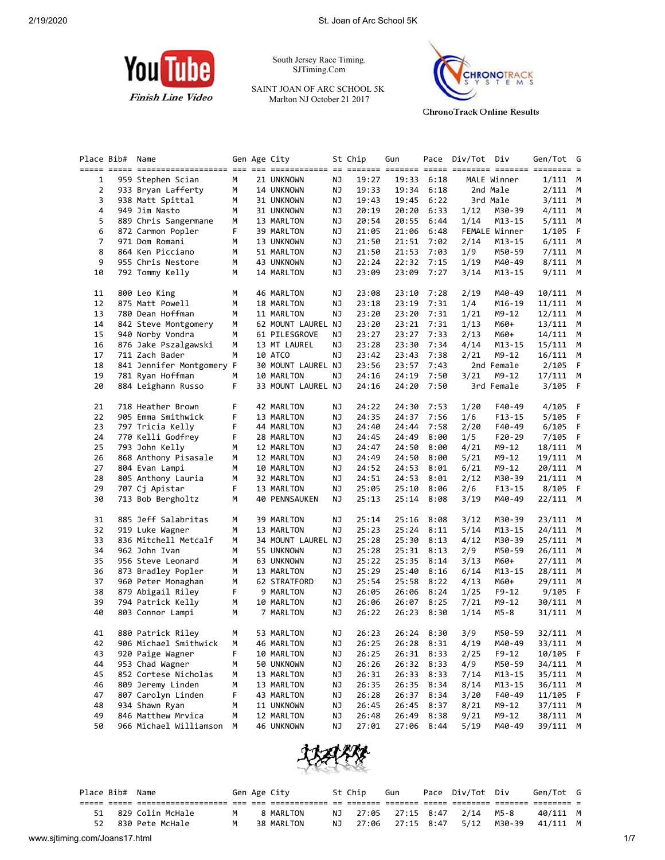

South Jersey Race Timing. SJTiming.Com

SAINT JOAN OF ARC SCHOOL 5K Marlton NJ October 21 2017



**ChronoTrack Online Results** 

|    | Place Bib# | Name                      |   | Gen Age City       |    | St Chip | Gun   |            | Pace Div/Tot Div |               | Gen/Tot G  |             |
|----|------------|---------------------------|---|--------------------|----|---------|-------|------------|------------------|---------------|------------|-------------|
|    |            |                           |   |                    |    |         |       |            |                  |               |            |             |
| 1  |            | 959 Stephen Scian         | М | 21 UNKNOWN         | ΝJ | 19:27   | 19:33 | 6:18       |                  | MALE Winner   | $1/111$ M  |             |
| 2  |            | 933 Bryan Lafferty        | м | 14 UNKNOWN         | ΝJ | 19:33   | 19:34 | 6:18       |                  | 2nd Male      | 2/111      | M           |
| 3  |            | 938 Matt Spittal          | М | 31 UNKNOWN         | ΝJ | 19:43   | 19:45 | 6:22       |                  | 3rd Male      | $3/111$ M  |             |
| 4  |            | 949 Jim Nasto             | М | 31 UNKNOWN         | ΝJ | 20:19   | 20:20 | 6:33       | 1/12             | M30-39        | $4/111$ M  |             |
| 5  |            | 889 Chris Sangermane      | м | 13 MARLTON         | ΝJ | 20:54   | 20:55 | 6:44       | 1/14             | M13-15        | $5/111$ M  |             |
| 6  |            | 872 Carmon Popler         | F | 39 MARLTON         | ΝJ | 21:05   | 21:06 | 6:48       |                  | FEMALE Winner | 1/105      | - F         |
| 7  |            | 971 Dom Romani            | м | 13 UNKNOWN         | ΝJ | 21:50   | 21:51 | 7:02       | 2/14             | M13-15        | 6/111      | M           |
| 8  |            | 864 Ken Picciano          | м | 51 MARLTON         | ΝJ | 21:50   | 21:53 | 7:03       | 1/9              | M50-59        | $7/111$ M  |             |
| 9  |            | 955 Chris Nestore         | М | 43 UNKNOWN         | ΝJ | 22:24   |       | 22:32 7:15 | 1/19             | M40-49        | $8/111$ M  |             |
| 10 |            | 792 Tommy Kelly           | М | 14 MARLTON         | ΝJ | 23:09   | 23:09 | 7:27       | 3/14             | M13-15        | $9/111$ M  |             |
| 11 |            | 800 Leo King              | М | 46 MARLTON         | ΝJ | 23:08   | 23:10 | 7:28       | 2/19             | M40-49        | 10/111 M   |             |
| 12 |            | 875 Matt Powell           | М | 18 MARLTON         | ΝJ | 23:18   | 23:19 | 7:31       | 1/4              | M16-19        | 11/111     | M           |
| 13 |            | 780 Dean Hoffman          | м | 11 MARLTON         | ΝJ | 23:20   | 23:20 | 7:31       | 1/21             | M9-12         | 12/111 M   |             |
| 14 |            | 842 Steve Montgomery      | М | 62 MOUNT LAUREL NJ |    | 23:20   | 23:21 | 7:31       | 1/13             | M60+          | 13/111 M   |             |
| 15 |            | 940 Norby Vondra          | М | 61 PILESGROVE      | ΝJ | 23:27   | 23:27 | 7:33       | 2/13             | M60+          | 14/111 M   |             |
| 16 |            | 876 Jake Pszalgawski      | м | 13 MT LAUREL       | ΝJ | 23:28   | 23:30 | 7:34       | 4/14             | M13-15        | $15/111$ M |             |
| 17 |            | 711 Zach Bader            | М | 10 ATCO            | ΝJ | 23:42   | 23:43 | 7:38       | 2/21             | M9-12         | 16/111 M   |             |
| 18 |            | 841 Jennifer Montgomery F |   | 30 MOUNT LAUREL NJ |    | 23:56   | 23:57 | 7:43       |                  | 2nd Female    | 2/105      | F           |
| 19 |            | 781 Ryan Hoffman          | М | 10 MARLTON         | ΝJ | 24:16   | 24:19 | 7:50       | 3/21             | M9-12         | $17/111$ M |             |
| 20 |            | 884 Leighann Russo        | F | 33 MOUNT LAUREL NJ |    | 24:16   | 24:20 | 7:50       |                  | 3rd Female    | 3/105      | - F         |
| 21 |            | 718 Heather Brown         | F | 42 MARLTON         | ΝJ | 24:22   | 24:30 | 7:53       | 1/20             | F40-49        | $4/105$ F  |             |
| 22 |            | 905 Emma Smithwick        | F | 13 MARLTON         | ΝJ | 24:35   | 24:37 | 7:56       | 1/6              | F13-15        | 5/105      | - F         |
| 23 |            | 797 Tricia Kelly          | F | 44 MARLTON         | ΝJ | 24:40   | 24:44 | 7:58       | 2/20             | F40-49        | 6/105      | $\mathsf F$ |
| 24 |            | 770 Kelli Godfrey         | F | 28 MARLTON         | ΝJ | 24:45   | 24:49 | 8:00       | 1/5              | $F20-29$      | 7/105      | F           |
| 25 |            | 793 John Kelly            | М | 12 MARLTON         | ΝJ | 24:47   | 24:50 | 8:00       | 4/21             | M9-12         | 18/111 M   |             |
| 26 |            | 868 Anthony Pisasale      | М | 12 MARLTON         | ΝJ | 24:49   | 24:50 | 8:00       | 5/21             | M9-12         | 19/111 M   |             |
| 27 |            | 804 Evan Lampi            | м | 10 MARLTON         | ΝJ | 24:52   | 24:53 | 8:01       | 6/21             | M9-12         | 20/111 M   |             |
| 28 |            | 805 Anthony Lauria        | М | 32 MARLTON         | ΝJ | 24:51   | 24:53 | 8:01       | 2/12             | M30-39        | 21/111 M   |             |
| 29 |            | 707 Cj Apistar            | F | 13 MARLTON         | ΝJ | 25:05   | 25:10 | 8:06       | 2/6              | $F13-15$      | 8/105      | F.          |
| 30 |            | 713 Bob Bergholtz         | М | 40 PENNSAUKEN      | ΝJ | 25:13   | 25:14 | 8:08       | 3/19             | M40-49        | 22/111 M   |             |
| 31 |            | 885 Jeff Salabritas       | м | 39 MARLTON         | ΝJ | 25:14   | 25:16 | 8:08       | 3/12             | M30-39        | 23/111 M   |             |
| 32 |            | 919 Luke Wagner           | м | 13 MARLTON         | ΝJ | 25:23   | 25:24 | 8:11       | 5/14             | M13-15        | 24/111 M   |             |
| 33 |            | 836 Mitchell Metcalf      | М | 34 MOUNT LAUREL NJ |    | 25:28   | 25:30 | 8:13       | 4/12             | M30-39        | 25/111 M   |             |
| 34 |            | 962 John Ivan             | М | 55 UNKNOWN         | ΝJ | 25:28   | 25:31 | 8:13       | 2/9              | M50-59        | 26/111 M   |             |
| 35 |            | 956 Steve Leonard         | М | 63 UNKNOWN         | ΝJ | 25:22   | 25:35 | 8:14       | 3/13             | M60+          | 27/111     | M           |
| 36 |            | 873 Bradley Popler        | М | 13 MARLTON         | ΝJ | 25:29   | 25:40 | 8:16       | 6/14             | M13-15        | 28/111 M   |             |
| 37 |            | 960 Peter Monaghan        | М | 62 STRATFORD       | ΝJ | 25:54   | 25:58 | 8:22       | 4/13             | M60+          | 29/111 M   |             |
| 38 |            | 879 Abigail Riley         | F | 9 MARLTON          | ΝJ | 26:05   | 26:06 | 8:24       | 1/25             | $F9-12$       | 9/105      | - F         |
| 39 |            | 794 Patrick Kelly         | М | 10 MARLTON         | ΝJ | 26:06   | 26:07 | 8:25       | 7/21             | M9-12         | 30/111 M   |             |
| 40 |            | 803 Connor Lampi          | м | 7 MARLTON          | ΝJ | 26:22   | 26:23 | 8:30       | 1/14             | $M5-8$        | 31/111     | M           |
| 41 |            | 880 Patrick Riley         | М | 53 MARLTON         | ΝJ | 26:23   |       | 26:24 8:30 | 3/9              | M50-59        | 32/111 M   |             |
| 42 |            | 906 Michael Smithwick M   |   | 46 MARLTON         | NJ | 26:25   |       | 26:28 8:31 | 4/19             | M40-49        | 33/111 M   |             |
| 43 |            | 920 Paige Wagner          | F | 10 MARLTON         | ΝJ | 26:25   |       | 26:31 8:33 | 2/25             | F9-12         | 10/105 F   |             |
| 44 |            | 953 Chad Wagner           | м | 50 UNKNOWN         | ΝJ | 26:26   | 26:32 | 8:33       | 4/9              | M50-59        | 34/111 M   |             |
| 45 |            | 852 Cortese Nicholas      | м | 13 MARLTON         | ΝJ | 26:31   | 26:33 | 8:33       | 7/14             | M13-15        | 35/111     | M           |
| 46 |            | 809 Jeremy Linden         | м | 13 MARLTON         | ΝJ | 26:35   | 26:35 | 8:34       | 8/14             | $M13 - 15$    | 36/111     | M           |
| 47 |            | 807 Carolyn Linden        | F | 43 MARLTON         | ΝJ | 26:28   | 26:37 | 8:34       | 3/20             | F40-49        | 11/105     | F           |
| 48 |            | 934 Shawn Ryan            | м | 11 UNKNOWN         | ΝJ | 26:45   | 26:45 | 8:37       | 8/21             | M9-12         | 37/111 M   |             |
| 49 |            | 846 Matthew Mrvica        | м | 12 MARLTON         | ΝJ | 26:48   | 26:49 | 8:38       | 9/21             | M9-12         | 38/111 M   |             |
| 50 |            | 966 Michael Williamson    | М | 46 UNKNOWN         | ΝJ | 27:01   | 27:06 | 8:44       | 5/19             | M40-49        | 39/111 M   |             |
|    |            |                           |   |                    |    |         |       |            |                  |               |            |             |



|                               | Place Bib# Name  |   | Gen Age City |     | St Chip | Gun | Pace Div/Tot Div              |        | Gen/Tot G |     |
|-------------------------------|------------------|---|--------------|-----|---------|-----|-------------------------------|--------|-----------|-----|
|                               |                  |   |              |     |         |     |                               |        |           |     |
| 51                            | 829 Colin McHale | M | 8 MARLTON    |     |         |     | NJ 27:05 27:15 8:47 2/14 M5-8 |        | 40/111 M  |     |
| 52                            | 830 Pete McHale  | M | 38 MARLTON   | NJ. |         |     | 27:06 27:15 8:47 5/12         | M30-39 | 41/111 M  |     |
| www.sjtiming.com/Joans17.html |                  |   |              |     |         |     |                               |        |           | 1/7 |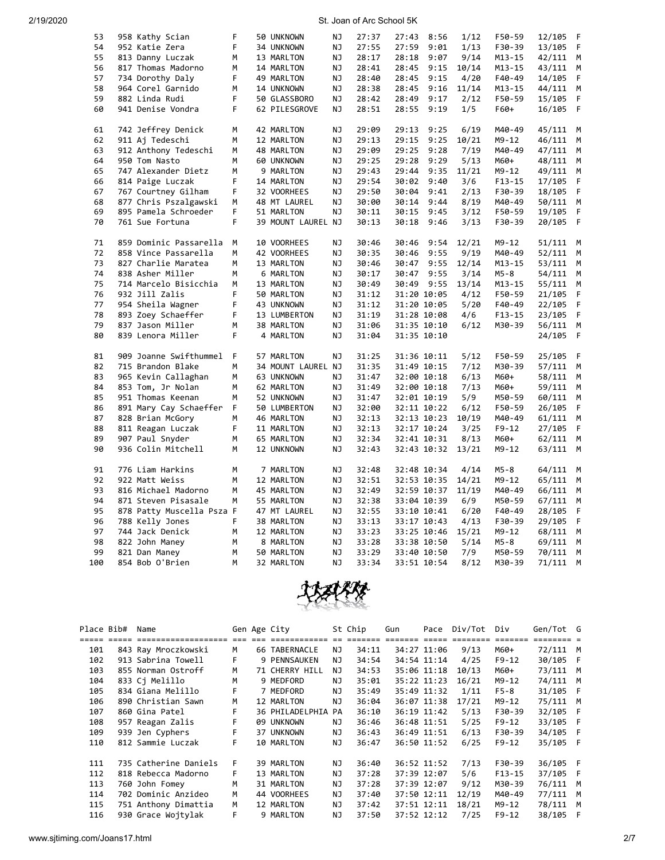| 53  | 958 Kathy Scian           | F   | 50 UNKNOWN         | NJ | 27:37 | 27:43       | 8:56 | 1/12  | F50-59     | 12/105 | F  |
|-----|---------------------------|-----|--------------------|----|-------|-------------|------|-------|------------|--------|----|
| 54  | 952 Katie Zera            | F   | 34 UNKNOWN         | ΝJ | 27:55 | 27:59       | 9:01 | 1/13  | F30-39     | 13/105 | F  |
| 55  | 813 Danny Luczak          | М   | 13 MARLTON         | ΝJ | 28:17 | 28:18       | 9:07 | 9/14  | $M13 - 15$ | 42/111 | M  |
| 56  | 817 Thomas Madorno        | М   | 14 MARLTON         | NJ | 28:41 | 28:45       | 9:15 | 10/14 | $M13 - 15$ | 43/111 | М  |
| 57  | 734 Dorothy Daly          | F   | 49 MARLTON         | ΝJ | 28:40 | 28:45       | 9:15 | 4/20  | F40-49     | 14/105 | F  |
| 58  | 964 Corel Garnido         | M   | 14 UNKNOWN         | ΝJ | 28:38 | 28:45       | 9:16 | 11/14 | $M13 - 15$ | 44/111 | M  |
| 59  | 882 Linda Rudi            | F   | 50 GLASSBORO       | ΝJ | 28:42 | 28:49       | 9:17 | 2/12  | F50-59     | 15/105 | F  |
| 60  | 941 Denise Vondra         | F   | 62 PILESGROVE      | NJ | 28:51 | 28:55       | 9:19 | 1/5   | F60+       | 16/105 | F  |
|     |                           |     |                    |    |       |             |      |       |            |        |    |
| 61  | 742 Jeffrey Denick        | М   | 42 MARLTON         | NJ | 29:09 | 29:13       | 9:25 | 6/19  | M40-49     | 45/111 | M  |
| 62  | 911 Aj Tedeschi           | M   | 12 MARLTON         | NJ | 29:13 | 29:15       | 9:25 | 10/21 | $M9 - 12$  | 46/111 | M  |
| 63  | 912 Anthony Tedeschi      | M   | 48 MARLTON         | ΝJ | 29:09 | 29:25       | 9:28 | 7/19  | M40-49     | 47/111 | М  |
| 64  | 950 Tom Nasto             | M   | 60 UNKNOWN         | NJ | 29:25 | 29:28       | 9:29 | 5/13  | M60+       | 48/111 | М  |
| 65  | 747 Alexander Dietz       | M   | 9 MARLTON          | NJ | 29:43 | 29:44       | 9:35 | 11/21 | $M9 - 12$  | 49/111 | M  |
| 66  | 814 Paige Luczak          | F   | 14 MARLTON         | ΝJ | 29:54 | 30:02       | 9:40 | 3/6   | $F13 - 15$ | 17/105 | F  |
| 67  | 767 Courtney Gilham       | F   | 32 VOORHEES        | ΝJ | 29:50 | 30:04       | 9:41 | 2/13  | F30-39     | 18/105 | F  |
| 68  |                           | M   |                    | NJ | 30:00 | 30:14       | 9:44 | 8/19  |            |        | M  |
|     | 877 Chris Pszalgawski     |     | 48 MT LAUREL       |    |       |             |      |       | M40-49     | 50/111 |    |
| 69  | 895 Pamela Schroeder      | F   | 51 MARLTON         | NJ | 30:11 | 30:15       | 9:45 | 3/12  | F50-59     | 19/105 | F  |
| 70  | 761 Sue Fortuna           | F   | 39 MOUNT LAUREL NJ |    | 30:13 | 30:18       | 9:46 | 3/13  | F30-39     | 20/105 | F  |
| 71  | 859 Dominic Passarella    | М   | 10 VOORHEES        | ΝJ | 30:46 | 30:46       | 9:54 | 12/21 | M9-12      | 51/111 | M  |
| 72  | 858 Vince Passarella      | M   | 42 VOORHEES        | NJ | 30:35 | 30:46       | 9:55 | 9/19  | M40-49     | 52/111 | M  |
| 73  | 827 Charlie Maratea       | M   | 13 MARLTON         | NJ | 30:46 | 30:47       | 9:55 | 12/14 |            |        |    |
| 74  |                           |     |                    |    |       |             |      |       | $M13 - 15$ | 53/111 | М  |
|     | 838 Asher Miller          | M   | 6 MARLTON          | ΝJ | 30:17 | 30:47       | 9:55 | 3/14  | M5-8       | 54/111 | M  |
| 75  | 714 Marcelo Bisicchia     | M   | 13 MARLTON         | ΝJ | 30:49 | 30:49 9:55  |      | 13/14 | $M13 - 15$ | 55/111 | M  |
| 76  | 932 Jill Zalis            | F   | 50 MARLTON         | NJ | 31:12 | 31:20 10:05 |      | 4/12  | F50-59     | 21/105 | F  |
| 77  | 954 Sheila Wagner         | F   | 43 UNKNOWN         | ΝJ | 31:12 | 31:20 10:05 |      | 5/20  | F40-49     | 22/105 | F  |
| 78  | 893 Zoey Schaeffer        | F   | 13 LUMBERTON       | ΝJ | 31:19 | 31:28 10:08 |      | 4/6   | $F13 - 15$ | 23/105 | F. |
| 79  | 837 Jason Miller          | М   | 38 MARLTON         | NJ | 31:06 | 31:35 10:10 |      | 6/12  | M30-39     | 56/111 | M  |
| 80  | 839 Lenora Miller         | F   | 4 MARLTON          | ΝJ | 31:04 | 31:35 10:10 |      |       |            | 24/105 | F  |
| 81  | 909 Joanne Swifthummel    | - F | 57 MARLTON         | NJ | 31:25 | 31:36 10:11 |      | 5/12  | F50-59     | 25/105 | F  |
| 82  | 715 Brandon Blake         | M   | 34 MOUNT LAUREL NJ |    | 31:35 | 31:49 10:15 |      | 7/12  | M30-39     | 57/111 | М  |
| 83  | 965 Kevin Callaghan       | М   | 63 UNKNOWN         | ΝJ | 31:47 | 32:00 10:18 |      | 6/13  | M60+       | 58/111 | M  |
| 84  | 853 Tom, Jr Nolan         | M   | 62 MARLTON         | NJ | 31:49 | 32:00 10:18 |      | 7/13  | M60+       | 59/111 | М  |
| 85  | 951 Thomas Keenan         | М   | 52 UNKNOWN         | NJ | 31:47 | 32:01 10:19 |      | 5/9   | M50-59     | 60/111 | М  |
| 86  |                           | F.  | 50 LUMBERTON       | ΝJ | 32:00 | 32:11 10:22 |      | 6/12  | F50-59     | 26/105 | F  |
|     | 891 Mary Cay Schaeffer    |     |                    |    |       |             |      |       |            |        |    |
| 87  | 828 Brian McGory          | М   | 46 MARLTON         | NJ | 32:13 | 32:13 10:23 |      | 10/19 | M40-49     | 61/111 | M  |
| 88  | 811 Reagan Luczak         | F   | 11 MARLTON         | NJ | 32:13 | 32:17 10:24 |      | 3/25  | $F9 - 12$  | 27/105 | F  |
| 89  | 907 Paul Snyder           | М   | 65 MARLTON         | ΝJ | 32:34 | 32:41 10:31 |      | 8/13  | M60+       | 62/111 | M  |
| 90  | 936 Colin Mitchell        | М   | 12 UNKNOWN         | NJ | 32:43 | 32:43 10:32 |      | 13/21 | M9-12      | 63/111 | M  |
| 91  | 776 Liam Harkins          | М   | 7 MARLTON          | ΝJ | 32:48 | 32:48 10:34 |      | 4/14  | M5-8       | 64/111 | M  |
| 92  | 922 Matt Weiss            | М   | 12 MARLTON         | NJ | 32:51 | 32:53 10:35 |      | 14/21 | $M9 - 12$  | 65/111 | М  |
| 93  | 816 Michael Madorno       | М   | 45 MARLTON         | NJ | 32:49 | 32:59 10:37 |      | 11/19 | M40-49     | 66/111 | М  |
| 94  | 871 Steven Pisasale       | M   | 55 MARLTON         | ΝJ | 32:38 | 33:04 10:39 |      | 6/9   | M50-59     | 67/111 | M  |
| 95  | 878 Patty Muscella Psza F |     | 47 MT LAUREL       | NJ | 32:55 | 33:10 10:41 |      | 6/20  | F40-49     | 28/105 | F  |
| 96  | 788 Kelly Jones           | F   | 38 MARLTON         | ΝJ | 33:13 | 33:17 10:43 |      | 4/13  | F30-39     | 29/105 | F  |
| 97  | 744 Jack Denick           | М   | 12 MARLTON         | ΝJ | 33:23 | 33:25 10:46 |      | 15/21 | M9-12      | 68/111 | M  |
| 98  | 822 John Maney            | M   | 8 MARLTON          | NJ | 33:28 | 33:38 10:50 |      | 5/14  | $M5 - 8$   | 69/111 | M  |
| 99  | 821 Dan Maney             | М   | 50 MARLTON         | NJ | 33:29 | 33:40 10:50 |      | 7/9   | M50-59     | 70/111 | М  |
| 100 | 854 Bob O'Brien           | M   | 32 MARLTON         | NJ | 33:34 | 33:51 10:54 |      | 8/12  | M30-39     | 71/111 | M  |
|     |                           |     |                    |    |       |             |      |       |            |        |    |



| Place Bib# | Name                  |           | Gen Age City       |     | St Chip | Gun | Pace        | Div/Tot | Div        | Gen/Tot G |     |
|------------|-----------------------|-----------|--------------------|-----|---------|-----|-------------|---------|------------|-----------|-----|
|            | =================     | $==  == $ | =======            |     |         |     |             |         | =======    |           |     |
| 101        | 843 Ray Mroczkowski   | м         | 66 TABERNACLE      | NJ. | 34:11   |     | 34:27 11:06 | 9/13    | M60+       | 72/111 M  |     |
| 102        | 913 Sabrina Towell    | F         | 9 PENNSAUKEN       | ΝJ  | 34:54   |     | 34:54 11:14 | 4/25    | $F9-12$    | 30/105 F  |     |
| 103        | 855 Norman Ostroff    | М         | 71 CHERRY HILL     | ΝJ  | 34:53   |     | 35:06 11:18 | 10/13   | M60+       | 73/111    | M   |
| 104        | 833 Ci Melillo        | м         | 9 MEDFORD          | ΝJ  | 35:01   |     | 35:22 11:23 | 16/21   | M9-12      | 74/111    | M   |
| 105        | 834 Giana Melillo     | F         | 7 MEDFORD          | ΝJ  | 35:49   |     | 35:49 11:32 | 1/11    | $F5-8$     | 31/105 F  |     |
| 106        | 890 Christian Sawn    | м         | 12 MARLTON         | ΝJ  | 36:04   |     | 36:07 11:38 | 17/21   | M9-12      | 75/111    | M   |
| 107        | 860 Gina Patel        | F         | 36 PHILADELPHIA PA |     | 36:10   |     | 36:19 11:42 | 5/13    | F30-39     | 32/105 F  |     |
| 108        | 957 Reagan Zalis      |           | 09 UNKNOWN         | ΝJ  | 36:46   |     | 36:48 11:51 | 5/25    | $F9-12$    | 33/105 F  |     |
| 109        | 939 Jen Cyphers       | F         | 37 UNKNOWN         | ΝJ  | 36:43   |     | 36:49 11:51 | 6/13    | F30-39     | 34/105    | F   |
| 110        | 812 Sammie Luczak     | F         | 10 MARLTON         | ΝJ  | 36:47   |     | 36:50 11:52 | 6/25    | $F9-12$    | 35/105 F  |     |
|            |                       |           |                    |     |         |     |             |         |            |           |     |
| 111        | 735 Catherine Daniels | F         | 39 MARLTON         | ΝJ  | 36:40   |     | 36:52 11:52 | 7/13    | F30-39     | 36/105 F  |     |
| 112        | 818 Rebecca Madorno   | F.        | 13 MARLTON         | ΝJ  | 37:28   |     | 37:39 12:07 | 5/6     | $F13 - 15$ | 37/105    | - F |
| 113        | 760 John Fomey        | м         | 31 MARLTON         | NJ  | 37:28   |     | 37:39 12:07 | 9/12    | M30-39     | 76/111    | M   |
| 114        | 702 Dominic Anzideo   | М         | 44 VOORHEES        | NJ  | 37:40   |     | 37:50 12:11 | 12/19   | M40-49     | 77/111    | M   |
| 115        | 751 Anthony Dimattia  | M         | 12 MARLTON         | NJ  | 37:42   |     | 37:51 12:11 | 18/21   | M9-12      | 78/111    | M   |
| 116        | 930 Grace Woitylak    | F         | 9 MARLTON          | NJ  | 37:50   |     | 37:52 12:12 | 7/25    | $F9 - 12$  | 38/105    | F   |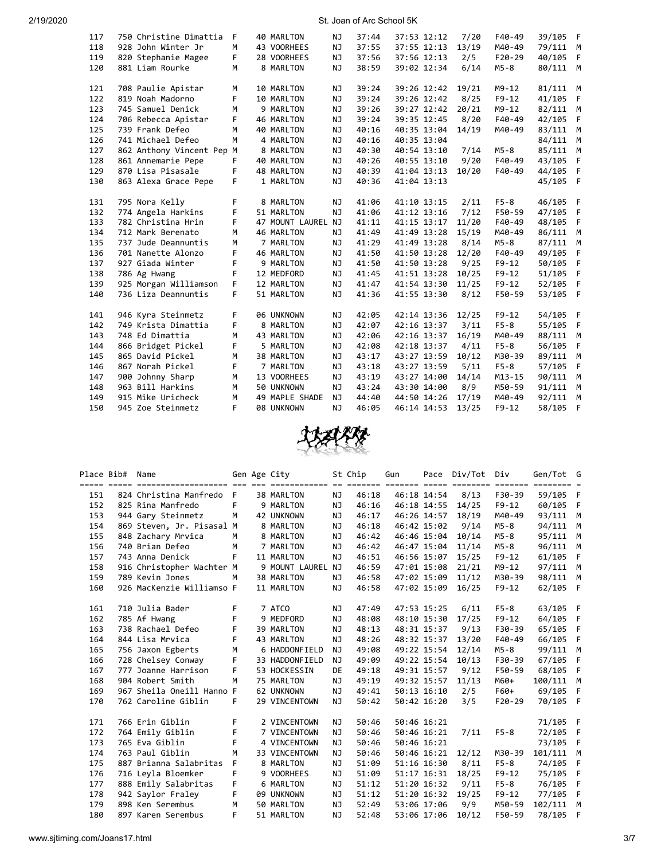| 117 | 750 Christine Dimattia    | F  | 40 MARLTON        | ΝJ        | 37:44 | 37:53 12:12 |             | 7/20  | F40-49     | 39/105 | - F  |
|-----|---------------------------|----|-------------------|-----------|-------|-------------|-------------|-------|------------|--------|------|
| 118 | 928 John Winter Jr        | M  | 43 VOORHEES       | <b>NJ</b> | 37:55 | 37:55 12:13 |             | 13/19 | M40-49     | 79/111 | M    |
| 119 | 820 Stephanie Magee       | F. | 28 VOORHEES       | NJ        | 37:56 | 37:56 12:13 |             | 2/5   | $F20-29$   | 40/105 | F    |
| 120 | 881 Liam Rourke           | M  | 8 MARLTON         | <b>NJ</b> | 38:59 | 39:02 12:34 |             | 6/14  | $M5-8$     | 80/111 | M    |
|     |                           |    |                   |           |       |             |             |       |            |        |      |
| 121 | 708 Paulie Apistar        | M  | 10 MARLTON        | NJ        | 39:24 | 39:26 12:42 |             | 19/21 | $M9 - 12$  | 81/111 | M    |
| 122 | 819 Noah Madorno          | F. | 10 MARLTON        | <b>NJ</b> | 39:24 | 39:26 12:42 |             | 8/25  | $F9 - 12$  | 41/105 | F    |
| 123 | 745 Samuel Denick         | M  | 9 MARLTON         | NJ        | 39:26 | 39:27 12:42 |             | 20/21 | $M9 - 12$  | 82/111 | M    |
| 124 | 706 Rebecca Apistar       | F. | 46 MARLTON        | <b>NJ</b> | 39:24 | 39:35 12:45 |             | 8/20  | F40-49     | 42/105 | F.   |
| 125 | 739 Frank Defeo           | M  | 40 MARLTON        | <b>NJ</b> | 40:16 | 40:35 13:04 |             | 14/19 | M40-49     | 83/111 | M    |
| 126 | 741 Michael Defeo         | M  | 4 MARLTON         | <b>NJ</b> | 40:16 | 40:35 13:04 |             |       |            | 84/111 | M    |
| 127 | 862 Anthony Vincent Pep M |    | 8 MARLTON         | NJ        | 40:30 |             | 40:54 13:10 | 7/14  | $M5-8$     | 85/111 | М    |
| 128 | 861 Annemarie Pepe        | F. | 40 MARLTON        | NJ        | 40:26 | 40:55 13:10 |             | 9/20  | F40-49     | 43/105 | F    |
| 129 | 870 Lisa Pisasale         | F  | 48 MARLTON        | NJ        | 40:39 | 41:04 13:13 |             | 10/20 | F40-49     | 44/105 | F    |
| 130 | 863 Alexa Grace Pepe      | F  | 1 MARLTON         | NJ        | 40:36 | 41:04 13:13 |             |       |            | 45/105 | $-F$ |
|     |                           |    |                   |           |       |             |             |       |            |        |      |
| 131 | 795 Nora Kelly            | F  | 8 MARLTON         | NJ        | 41:06 | 41:10 13:15 |             | 2/11  | $F5-8$     | 46/105 | - F  |
| 132 | 774 Angela Harkins        | F  | 51 MARLTON        | <b>NJ</b> | 41:06 | 41:12 13:16 |             | 7/12  | F50-59     | 47/105 | F    |
| 133 | 782 Christina Hrin        | F. | 47 MOUNT LAUREL   | NJ        | 41:11 | 41:15 13:17 |             | 11/20 | F40-49     | 48/105 | F    |
| 134 | 712 Mark Berenato         | M  | 46 MARLTON        | NJ        | 41:49 | 41:49 13:28 |             | 15/19 | M40-49     | 86/111 | M    |
| 135 | 737 Jude Deannuntis       | M  | 7 MARLTON         | NJ        | 41:29 | 41:49 13:28 |             | 8/14  | $M5-8$     | 87/111 | M    |
| 136 | 701 Nanette Alonzo        | F. | 46 MARLTON        | NJ        | 41:50 | 41:50 13:28 |             | 12/20 | F40-49     | 49/105 | F    |
| 137 | 927 Giada Winter          | F  | 9 MARLTON         | NJ        | 41:50 | 41:50 13:28 |             | 9/25  | $F9 - 12$  | 50/105 | F    |
| 138 | 786 Ag Hwang              | F  | 12 MEDFORD        | NJ        | 41:45 | 41:51 13:28 |             | 10/25 | $F9 - 12$  | 51/105 | F    |
| 139 | 925 Morgan Williamson     | F. | 12 MARLTON        | NJ.       | 41:47 | 41:54 13:30 |             | 11/25 | $F9 - 12$  | 52/105 | F    |
| 140 | 736 Liza Deannuntis       | F  | 51 MARLTON        | NJ        | 41:36 | 41:55 13:30 |             | 8/12  | F50-59     | 53/105 | - F  |
|     |                           |    |                   |           |       |             |             |       |            |        |      |
| 141 | 946 Kyra Steinmetz        | F  | 06 UNKNOWN        | ΝJ        | 42:05 | 42:14 13:36 |             | 12/25 | $F9 - 12$  | 54/105 | - F  |
| 142 | 749 Krista Dimattia       | F. | 8 MARLTON         | NJ        | 42:07 | 42:16 13:37 |             | 3/11  | $F5-8$     | 55/105 | F    |
| 143 | 748 Ed Dimattia           | M  | 43 MARLTON        | <b>NJ</b> | 42:06 | 42:16 13:37 |             | 16/19 | M40-49     | 88/111 | M    |
| 144 | 866 Bridget Pickel        | F  | 5 MARLTON         | <b>NJ</b> | 42:08 | 42:18 13:37 |             | 4/11  | $F5-8$     | 56/105 | F    |
| 145 | 865 David Pickel          | M  | 38 MARLTON        | <b>NJ</b> | 43:17 | 43:27 13:59 |             | 10/12 | M30-39     | 89/111 | M    |
| 146 | 867 Norah Pickel          | F  | 7 MARLTON         | <b>NJ</b> | 43:18 | 43:27 13:59 |             | 5/11  | $F5-8$     | 57/105 | F.   |
| 147 | 900 Johnny Sharp          | М  | 13 VOORHEES       | <b>NJ</b> | 43:19 | 43:27 14:00 |             | 14/14 | $M13 - 15$ | 90/111 | М    |
| 148 | 963 Bill Harkins          | M  | 50 UNKNOWN        | <b>NJ</b> | 43:24 | 43:30 14:00 |             | 8/9   | M50-59     | 91/111 | M    |
| 149 | 915 Mike Uricheck         | M  | 49 MAPLE SHADE    | NJ        | 44:40 | 44:50 14:26 |             | 17/19 | M40-49     | 92/111 | M    |
| 150 | 945 Zoe Steinmetz         | F  | <b>08 UNKNOWN</b> | NJ        | 46:05 | 46:14 14:53 |             | 13/25 | $F9 - 12$  | 58/105 | F    |
|     |                           |    |                   |           |       |             |             |       |            |        |      |



| Place Bib# | Name                                                                                                            |    | Gen Age City      |           | St Chip | Gun |                 | Pace Div/Tot Div |           | Gen/Tot G |     |
|------------|-----------------------------------------------------------------------------------------------------------------|----|-------------------|-----------|---------|-----|-----------------|------------------|-----------|-----------|-----|
|            | <u>stice code concertivelemente del que estimanente si accial ancien code acciale acciale acciale acciale s</u> |    |                   |           |         |     |                 |                  |           |           |     |
| 151        | 824 Christina Manfredo F                                                                                        |    | 38 MARLTON        | NJ.       | 46:18   |     | 46:18 14:54     | 8/13             | F30-39    | 59/105 F  |     |
| 152        | 825 Rina Manfredo                                                                                               | F  | 9 MARLTON         | NJ        | 46:16   |     | 46:18 14:55     | 14/25            | $F9 - 12$ | 60/105 F  |     |
| 153        | 944 Gary Steinmetz                                                                                              | M  | 42 UNKNOWN        | NJ.       | 46:17   |     | 46:26 14:57     | 18/19            | M40-49    | 93/111 M  |     |
| 154        | 869 Steven, Jr. Pisasal M                                                                                       |    | 8 MARLTON         | NJ        | 46:18   |     | 46:42 15:02     | 9/14             | $M5-8$    | 94/111 M  |     |
| 155        | 848 Zachary Mrvica                                                                                              | M  | 8 MARLTON         | NJ        | 46:42   |     | 46:46 15:04     | 10/14            | $M5-8$    | 95/111 M  |     |
| 156        | 740 Brian Defeo                                                                                                 | M  | 7 MARLTON         | NJ        | 46:42   |     | 46:47 15:04     | 11/14            | $M5-8$    | 96/111 M  |     |
| 157        | 743 Anna Denick                                                                                                 | F  | 11 MARLTON        | NJ        | 46:51   |     | 46:56 15:07     | 15/25            | $F9 - 12$ | 61/105 F  |     |
| 158        | 916 Christopher Wachter M                                                                                       |    | 9 MOUNT LAUREL NJ |           | 46:59   |     | 47:01 15:08     | 21/21            | $M9 - 12$ | 97/111 M  |     |
| 159        | 789 Kevin Jones                                                                                                 | м  | 38 MARLTON        | NJ        | 46:58   |     | 47:02 15:09     | 11/12            | M30-39    | 98/111    | M   |
| 160        | 926 MacKenzie Williamso F                                                                                       |    | 11 MARLTON        | NJ        | 46:58   |     | 47:02 15:09     | 16/25            | $F9 - 12$ | 62/105 F  |     |
|            |                                                                                                                 |    |                   |           |         |     |                 |                  |           |           |     |
| 161        | 710 Julia Bader                                                                                                 | F  | 7 ATCO            | NJ.       | 47:49   |     | 47:53 15:25     | 6/11             | $F5-8$    | 63/105 F  |     |
| 162        | 785 Af Hwang                                                                                                    | F  | 9 MEDFORD         | <b>NJ</b> | 48:08   |     | 48:10 15:30     | 17/25            | $F9 - 12$ | 64/105 F  |     |
| 163        | 738 Rachael Defeo                                                                                               | F  | 39 MARLTON        | NJ        | 48:13   |     | 48:31 15:37     | 9/13             | F30-39    | 65/105 F  |     |
| 164        | 844 Lisa Mrvica                                                                                                 | F  | 43 MARLTON        | <b>NJ</b> | 48:26   |     | 48:32 15:37     | 13/20            | F40-49    | 66/105    | - F |
| 165        | 756 Jaxon Egberts                                                                                               | M  | 6 HADDONFIELD     | NJ        | 49:08   |     | 49:22 15:54     | 12/14            | $M5-8$    | 99/111 M  |     |
| 166        | 728 Chelsey Conway                                                                                              | F  | 33 HADDONFIELD    | NJ        | 49:09   |     | 49:22 15:54     | 10/13            | F30-39    | 67/105 F  |     |
| 167        | 777 Joanne Harrison                                                                                             | F  | 53 HOCKESSIN      | <b>DE</b> | 49:18   |     | 49:31 15:57     | 9/12             | F50-59    | 68/105 F  |     |
| 168        | 904 Robert Smith                                                                                                | M  | 75 MARLTON        | NJ.       | 49:19   |     | 49:32 15:57     | 11/13            | M60+      | 100/111 M |     |
| 169        | 967 Sheila Oneill Hanno F                                                                                       |    | 62 UNKNOWN        | NJ.       | 49:41   |     | $50:13$ $16:10$ | 2/5              | F60+      | 69/105    | -F  |
| 170        | 762 Caroline Giblin                                                                                             | F. | 29 VINCENTOWN     | NJ        | 50:42   |     | 50:42 16:20     | 3/5              | F20-29    | 70/105 F  |     |
| 171        | 766 Erin Giblin                                                                                                 | F  | 2 VINCENTOWN      | NJ.       | 50:46   |     | 50:46 16:21     |                  |           | 71/105 F  |     |
| 172        | 764 Emily Giblin                                                                                                | F  | 7 VINCENTOWN      | NJ.       | 50:46   |     | 50:46 16:21     | 7/11             | $F5-8$    | 72/105 F  |     |
| 173        | 765 Eva Giblin                                                                                                  | F  | 4 VINCENTOWN      | NJ        | 50:46   |     | 50:46 16:21     |                  |           | 73/105 F  |     |
| 174        | 763 Paul Giblin                                                                                                 | M  | 33 VINCENTOWN     | NJ        | 50:46   |     | 50:46 16:21     | 12/12            | M30-39    | 101/111 M |     |
| 175        | 887 Brianna Salabritas                                                                                          | F  | 8 MARLTON         | NJ.       | 51:09   |     | 51:16 16:30     | 8/11             | $F5-8$    | 74/105 F  |     |
| 176        | 716 Leyla Bloemker                                                                                              | F  | 9 VOORHEES        | NJ.       | 51:09   |     | 51:17 16:31     | 18/25            | $F9 - 12$ | 75/105 F  |     |
| 177        | 888 Emily Salabritas                                                                                            | F. | 6 MARLTON         | ΝJ        | 51:12   |     | 51:20 16:32     | 9/11             | $F5-8$    | 76/105 F  |     |
| 178        | 942 Saylor Fraley                                                                                               | F. | 09 UNKNOWN        | ΝJ        | 51:12   |     | 51:20 16:32     | 19/25            | $F9 - 12$ | 77/105    | - F |
| 179        | 898 Ken Serembus                                                                                                | M  | 50 MARLTON        | NJ        | 52:49   |     | 53:06 17:06     | 9/9              | M50-59    | 102/111 M |     |
| 180        | 897 Karen Serembus                                                                                              | F  | 51 MARLTON        | NJ        | 52:48   |     | 53:06 17:06     | 10/12            | F50-59    | 78/105    | F   |
|            |                                                                                                                 |    |                   |           |         |     |                 |                  |           |           |     |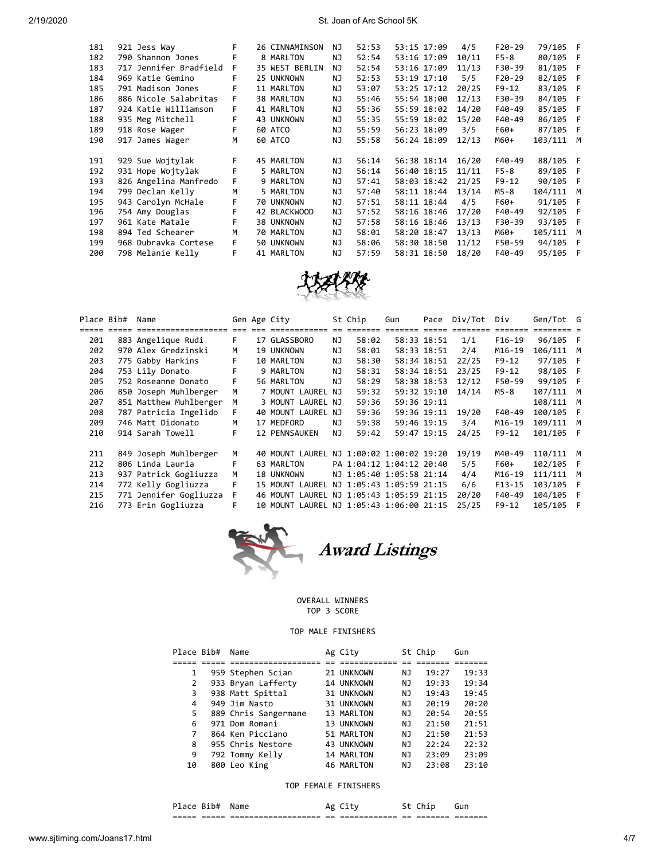| 181 | 921 Jess Way           | F  | 26 CINNAMINSON | NJ | 52:53 | 53:15 17:09 | 4/5   | $F20-29$ | 79/105 F |     |
|-----|------------------------|----|----------------|----|-------|-------------|-------|----------|----------|-----|
| 182 | 790 Shannon Jones      | F  | 8 MARLTON      | NJ | 52:54 | 53:16 17:09 | 10/11 | $F5-8$   | 80/105 F |     |
| 183 | 717 Jennifer Bradfield | F. | 35 WEST BERLIN | NJ | 52:54 | 53:16 17:09 | 11/13 | F30-39   | 81/105   | - F |
| 184 | 969 Katie Gemino       | F  | 25 UNKNOWN     | NJ | 52:53 | 53:19 17:10 | 5/5   | $F20-29$ | 82/105   | - F |
| 185 | 791 Madison Jones      | F  | 11 MARLTON     | NJ | 53:07 | 53:25 17:12 | 20/25 | $F9-12$  | 83/105 F |     |
| 186 | 886 Nicole Salabritas  | F. | 38 MARLTON     | NJ | 55:46 | 55:54 18:00 | 12/13 | F30-39   | 84/105 F |     |
| 187 | 924 Katie Williamson   | F. | 41 MARLTON     | NJ | 55:36 | 55:59 18:02 | 14/20 | F40-49   | 85/105   | - F |
| 188 | 935 Meg Mitchell       | F  | 43 UNKNOWN     | NJ | 55:35 | 55:59 18:02 | 15/20 | F40-49   | 86/105   | - F |
| 189 | 918 Rose Wager         | F  | 60 ATCO        | NJ | 55:59 | 56:23 18:09 | 3/5   | F60+     | 87/105 F |     |
| 190 | 917 James Wager        | м  | 60 ATCO        | NJ | 55:58 | 56:24 18:09 | 12/13 | M60+     | 103/111  | M   |
|     |                        |    |                |    |       |             |       |          |          |     |
| 191 | 929 Sue Wojtylak       | F. | 45 MARLTON     | NJ | 56:14 | 56:38 18:14 | 16/20 | F40-49   | 88/105 F |     |
|     |                        |    |                |    |       |             |       |          |          |     |
| 192 | 931 Hope Wojtylak      | F  | 5 MARLTON      | NJ | 56:14 | 56:40 18:15 | 11/11 | $F5-8$   | 89/105 F |     |
| 193 | 826 Angelina Manfredo  | F. | 9 MARLTON      | NJ | 57:41 | 58:03 18:42 | 21/25 | $F9-12$  | 90/105 F |     |
| 194 | 799 Declan Kelly       | M  | 5 MARLTON      | NJ | 57:40 | 58:11 18:44 | 13/14 | M5-8     | 104/111  | M   |
| 195 | 943 Carolyn McHale     | F  | 70 UNKNOWN     | NJ | 57:51 | 58:11 18:44 | 4/5   | F60+     | 91/105 F |     |
| 196 | 754 Amy Douglas        | F  | 42 BLACKWOOD   | NJ | 57:52 | 58:16 18:46 | 17/20 | F40-49   | 92/105   | F   |
| 197 | 961 Kate Matale        | F  | 38 UNKNOWN     | NJ | 57:58 | 58:16 18:46 | 13/13 | F30-39   | 93/105 F |     |
| 198 | 894 Ted Schearer       | м  | 70 MARLTON     | NJ | 58:01 | 58:20 18:47 | 13/13 | M60+     | 105/111  | M   |
| 199 | 968 Dubravka Cortese   | F. | 50 UNKNOWN     | NJ | 58:06 | 58:30 18:50 | 11/12 | F50-59   | 94/105   | - F |
| 200 | 798 Melanie Kelly      | F  | 41 MARLTON     | NJ | 57:59 | 58:31 18:50 | 18/20 | F40-49   | 95/105   | - F |



| Place Bib# |             | Name                   |    | Gen Age City                             |     | St Chip                  | Gun         | Pace        | Div/Tot                     | Div       | Gen/Tot G |    |
|------------|-------------|------------------------|----|------------------------------------------|-----|--------------------------|-------------|-------------|-----------------------------|-----------|-----------|----|
|            | ===== ===== |                        |    |                                          |     |                          |             | $==$        | $=$ $=$ $=$ $=$ $=$ $=$ $=$ | =======   |           |    |
| 201        |             | 883 Angelique Rudi     | F. | 17 GLASSBORO                             | NJ. | 58:02                    |             | 58:33 18:51 | 1/1                         | F16-19    | 96/105 F  |    |
| 202        |             | 970 Alex Gredzinski    | м  | 19 UNKNOWN                               | ΝJ  | 58:01                    |             | 58:33 18:51 | 2/4                         | M16-19    | 106/111 M |    |
| 203        |             | 775 Gabby Harkins      | F  | 10 MARLTON                               | ΝJ  | 58:30                    |             | 58:34 18:51 | 22/25                       | $F9-12$   | 97/105 F  |    |
| 204        |             | 753 Lily Donato        | F  | 9 MARLTON                                | ΝJ  | 58:31                    |             | 58:34 18:51 | 23/25                       | $F9-12$   | 98/105 F  |    |
| 205        |             | 752 Roseanne Donato    | F. | 56 MARLTON                               | NJ. | 58:29                    |             | 58:38 18:53 | 12/12                       | F50-59    | 99/105 F  |    |
| 206        |             | 850 Joseph Muhlberger  | м  | 7 MOUNT LAUREL NJ                        |     | 59:32                    |             | 59:32 19:10 | 14/14                       | M5-8      | 107/111 M |    |
| 207        |             | 851 Matthew Muhlberger | м  | 3 MOUNT LAUREL NJ                        |     | 59:36                    | 59:36 19:11 |             |                             |           | 108/111 M |    |
| 208        |             | 787 Patricia Ingelido  | F. | 40 MOUNT LAUREL NJ                       |     | 59:36                    |             | 59:36 19:11 | 19/20                       | F40-49    | 100/105 F |    |
| 209        |             | 746 Matt Didonato      | М  | 17 MEDFORD                               | ΝJ  | 59:38                    | 59:46 19:15 |             | 3/4                         | $M16-19$  | 109/111 M |    |
| 210        |             | 914 Sarah Towell       | F  | 12 PENNSAUKEN                            | NJ  | 59:42                    |             | 59:47 19:15 | 24/25                       | $F9-12$   | 101/105 F |    |
| 211        |             | 849 Joseph Muhlberger  | м  | 40 MOUNT LAUREL NJ 1:00:02 1:00:02 19:20 |     |                          |             |             | 19/19                       | M40-49    | 110/111   | M  |
| 212        |             | 806 Linda Lauria       | F  | 63 MARLTON                               |     | PA 1:04:12 1:04:12 20:40 |             |             | 5/5                         | F60+      | 102/105   | -F |
| 213        |             | 937 Patrick Gogliuzza  | M  | 18 UNKNOWN                               |     | NJ 1:05:40 1:05:58 21:14 |             |             | 4/4                         | $M16-19$  | 111/111   | M  |
| 214        |             | 772 Kelly Gogliuzza    | F. | 15 MOUNT LAUREL NJ 1:05:43 1:05:59 21:15 |     |                          |             |             | 6/6                         | $F13-15$  | 103/105   | F  |
| 215        |             | 771 Jennifer Gogliuzza | F. | 46 MOUNT LAUREL NJ 1:05:43 1:05:59 21:15 |     |                          |             |             | 20/20                       | F40-49    | 104/105 F |    |
|            |             |                        |    |                                          |     |                          |             |             |                             |           |           |    |
| 216        |             | 773 Erin Gogliuzza     | F  | 10 MOUNT LAUREL NJ 1:05:43 1:06:00 21:15 |     |                          |             |             | 25/25                       | $F9 - 12$ | 105/105 F |    |
|            |             |                        |    |                                          |     |                          |             |             |                             |           |           |    |



### OVERALL WINNERS TOP 3 SCORE

## TOP MALE FINISHERS

|    | Place Bib# | Name                 | Ag City    |     | St Chip | Gun   |
|----|------------|----------------------|------------|-----|---------|-------|
|    |            |                      |            |     |         |       |
|    | 1          | 959 Stephen Scian    | 21 UNKNOWN | ΝJ  | 19:27   | 19:33 |
|    | 2          | 933 Bryan Lafferty   | 14 UNKNOWN | ΝJ  | 19:33   | 19:34 |
|    | 3          | 938 Matt Spittal     | 31 UNKNOWN | ΝJ  | 19:43   | 19:45 |
|    | 4          | 949 Jim Nasto        | 31 UNKNOWN | NJ. | 20:19   | 20:20 |
|    | 5          | 889 Chris Sangermane | 13 MARLTON | NJ. | 20:54   | 20:55 |
|    | 6          | 971 Dom Romani       | 13 UNKNOWN | NJ  | 21:50   | 21:51 |
|    | 7          | 864 Ken Picciano     | 51 MARLTON | NJ  | 21:50   | 21:53 |
| 8  |            | 955 Chris Nestore    | 43 UNKNOWN | NJ  | 22:24   | 22:32 |
| 9  |            | 792 Tommy Kelly      | 14 MARLTON | NJ  | 23:09   | 23:09 |
| 10 |            | 800 Leo King         | 46 MARLTON | ΝJ  | 23:08   | 23:10 |

#### TOP FEMALE FINISHERS

| _____ | --<br>----<br>-- | ------------<br>----<br>$ -$<br>------------------<br>--- | $-$<br>-- | ---------<br>_____________ | $ -$<br>--- | --<br>_____<br>------- | ---<br>------- |
|-------|------------------|-----------------------------------------------------------|-----------|----------------------------|-------------|------------------------|----------------|
|       | س ر<br>___       | -n                                                        |           |                            |             |                        |                |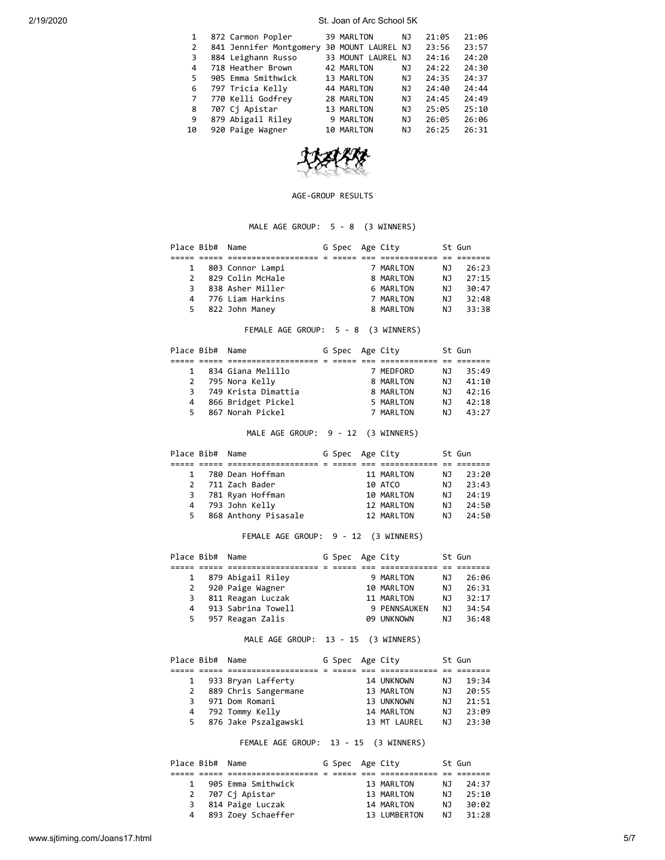| $\mathbf{1}$ | 872 Carmon Popler       | 39 MARLTON         | ΝJ  | 21:05 | 21:06 |
|--------------|-------------------------|--------------------|-----|-------|-------|
| 2            | 841 Jennifer Montgomery | 30 MOUNT LAUREL NJ |     | 23:56 | 23:57 |
| 3.           | 884 Leighann Russo      | 33 MOUNT LAUREL NJ |     | 24:16 | 24:20 |
| 4            | 718 Heather Brown       | 42 MARLTON         | NJ. | 24:22 | 24:30 |
| 5.           | 905 Emma Smithwick      | 13 MARLTON         | NJ  | 24:35 | 24:37 |
| 6            | 797 Tricia Kelly        | 44 MARLTON         | NJ  | 24:40 | 24:44 |
| 7            | 770 Kelli Godfrey       | 28 MARLTON         | NJ. | 24:45 | 24:49 |
| 8            | 707 Cj Apistar          | 13 MARLTON         | ΝJ  | 25:05 | 25:10 |
| 9            | 879 Abigail Riley       | 9 MARLTON          | ΝJ  | 26:05 | 26:06 |
| 10           | 920 Paige Wagner        | 10 MARLTON         | ΝJ  | 26:25 | 26:31 |
|              |                         |                    |     |       |       |



#### AGE-GROUP RESULTS

# MALE AGE GROUP: 5 - 8 (3 WINNERS)

|   | Place Bib# Name |                    | G Spec Age City |           |     | St Gun |
|---|-----------------|--------------------|-----------------|-----------|-----|--------|
|   |                 |                    |                 |           |     |        |
|   |                 | 803 Connor Lampi   |                 | 7 MARLTON | NJ. | 26:23  |
|   |                 | 829 Colin McHale   |                 | 8 MARLTON | NJ. | 27:15  |
| 3 |                 | 838 Asher Miller   |                 | 6 MARLTON | NJ. | 30:47  |
|   |                 | 4 776 Liam Harkins |                 | 7 MARLTON | ΝJ  | 32:48  |
|   |                 | 5 822 John Maney   |                 | 8 MARLTON | ΝJ  | 33:38  |

# FEMALE AGE GROUP: 5 - 8 (3 WINNERS)

| Place Bib# Name |                     | G Spec Age City |           |     | St Gun |
|-----------------|---------------------|-----------------|-----------|-----|--------|
|                 |                     |                 |           |     |        |
|                 | 834 Giana Melillo   |                 | 7 MEDFORD | NJ. | 35:49  |
|                 | 2 795 Nora Kelly    |                 | 8 MARLTON | ΝJ  | 41:10  |
| 3               | 749 Krista Dimattia |                 | 8 MARLTON | ΝJ  | 42:16  |
| 4               | 866 Bridget Pickel  |                 | 5 MARLTON | ΝJ  | 42:18  |
| 5.              | 867 Norah Pickel    |                 | 7 MARLTON | ΝJ  | 43:27  |
|                 |                     |                 |           |     |        |

MALE AGE GROUP: 9 - 12 (3 WINNERS)

| Place Bib# Name |                        | G Spec Age City |            |     | St Gun |
|-----------------|------------------------|-----------------|------------|-----|--------|
|                 |                        |                 |            |     |        |
| $\mathbf{1}$    | 780 Dean Hoffman       |                 | 11 MARLTON | NJ. | 23:20  |
| $\overline{2}$  | 711 Zach Bader         |                 | 10 ATCO    | ΝJ  | 23:43  |
|                 | 3 781 Ryan Hoffman     |                 | 10 MARLTON | ΝJ  | 24:19  |
|                 | 4 793 John Kelly       |                 | 12 MARLTON | ΝJ  | 24:50  |
|                 | 5 868 Anthony Pisasale |                 | 12 MARLTON | NJ. | 24:50  |

FEMALE AGE GROUP: 9 - 12 (3 WINNERS)

| Place Bib# Name |                      | G Spec Age City |              |     | St Gun |
|-----------------|----------------------|-----------------|--------------|-----|--------|
|                 |                      |                 |              |     |        |
|                 | 879 Abigail Riley    |                 | 9 MARLTON    | NJ. | 26:06  |
|                 | 2 920 Paige Wagner   |                 | 10 MARLTON   | ΝJ  | 26:31  |
|                 | 3 811 Reagan Luczak  |                 | 11 MARLTON   | ΝJ  | 32:17  |
|                 | 4 913 Sabrina Towell |                 | 9 PENNSAUKEN | NJ. | 34:54  |
|                 | 5 957 Reagan Zalis   |                 | 09 UNKNOWN   | NJ. | 36:48  |

MALE AGE GROUP: 13 - 15 (3 WINNERS)

|   | Place Bib# Name |                        | G Spec Age City |              |     | St Gun |
|---|-----------------|------------------------|-----------------|--------------|-----|--------|
|   |                 |                        |                 |              |     |        |
|   |                 | 933 Bryan Lafferty     |                 | 14 UNKNOWN   | NJ. | 19:34  |
| 2 |                 | 889 Chris Sangermane   |                 | 13 MARLTON   | ΝJ  | 20:55  |
| 3 |                 | 971 Dom Romani         |                 | 13 UNKNOWN   | N.  | 21:51  |
| 4 |                 | 792 Tommy Kelly        |                 | 14 MARLTON   | ΝJ  | 23:09  |
|   |                 | 5 876 Jake Pszalgawski |                 | 13 MT LAUREL | NJ. | 23:30  |

FEMALE AGE GROUP: 13 - 15 (3 WINNERS)

| Place Bib# Name |                      | G Spec Age City |              |     | St Gun |
|-----------------|----------------------|-----------------|--------------|-----|--------|
|                 |                      |                 |              |     |        |
|                 | 905 Emma Smithwick   |                 | 13 MARLTON   | NJ. | 24:37  |
|                 | 2 707 Cj Apistar     |                 | 13 MARLTON   | N J | 25:10  |
|                 | 3 814 Paige Luczak   |                 | 14 MARLTON   | ΝJ  | 30:02  |
|                 | 4 893 Zoey Schaeffer |                 | 13 LUMBERTON | N J | 31:28  |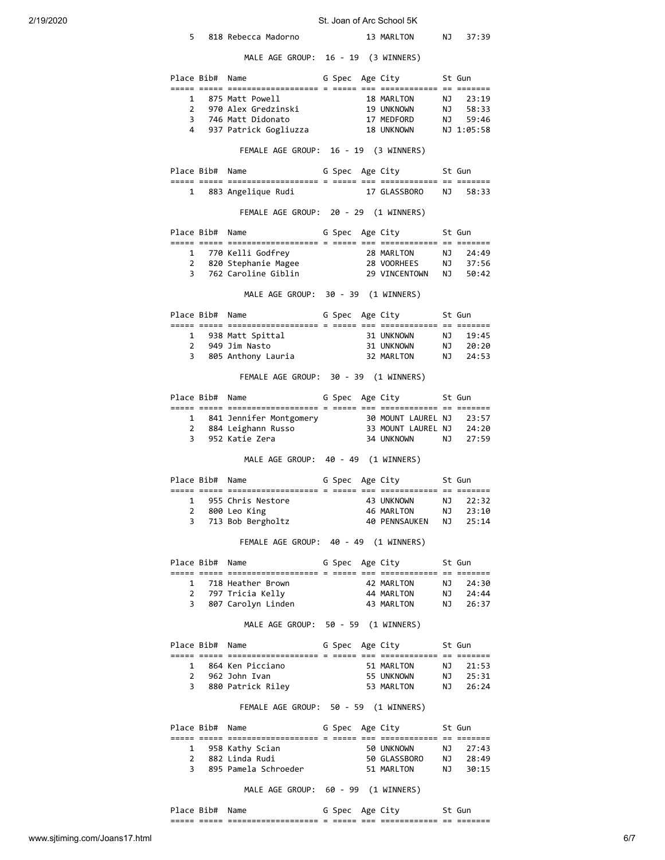| 2/19/2020 |   |                 |                                                                                                                                             |  | St. Joan of Arc School 5K  |      |                |
|-----------|---|-----------------|---------------------------------------------------------------------------------------------------------------------------------------------|--|----------------------------|------|----------------|
|           | 5 |                 | 818 Rebecca Madorno                                                                                                                         |  | 13 MARLTON NJ              |      | 37:39          |
|           |   |                 | MALE AGE GROUP: 16 - 19 (3 WINNERS)                                                                                                         |  |                            |      |                |
|           |   |                 | Place Bib# Name                                                                                                                             |  | G Spec Age City            |      | St Gun         |
|           |   |                 |                                                                                                                                             |  |                            |      |                |
|           |   |                 |                                                                                                                                             |  |                            |      |                |
|           |   |                 |                                                                                                                                             |  |                            |      |                |
|           |   |                 |                                                                                                                                             |  |                            |      |                |
|           |   |                 | FEMALE AGE GROUP: 16 - 19 (3 WINNERS)                                                                                                       |  |                            |      |                |
|           |   |                 | Place Bib# Name<br>G Spec Age City                                                                                                          |  |                            |      | St Gun         |
|           |   |                 | 1 883 Angelique Rudi 17 GLASSBORO                                                                                                           |  |                            |      | NJ 58:33       |
|           |   |                 | FEMALE AGE GROUP: 20 - 29 (1 WINNERS)                                                                                                       |  |                            |      |                |
|           |   |                 | Place Bib# Name G Spec Age City                                                                                                             |  |                            |      | St Gun         |
|           |   |                 |                                                                                                                                             |  |                            |      |                |
|           |   |                 | 1 770 Kelli Godfrey 128 MARLTON NJ 24:49<br>2 820 Stephanie Magee 28 VOORHEES NJ 37:56                                                      |  |                            |      |                |
|           |   |                 | 3 762 Caroline Giblin                                                                                                                       |  | 29 VINCENTOWN              | NJ   | 50:42          |
|           |   |                 | MALE AGE GROUP: 30 - 39 (1 WINNERS)                                                                                                         |  |                            |      |                |
|           |   |                 | Place Bib# Name 6 Spec Age City 5t Gun                                                                                                      |  |                            |      |                |
|           |   |                 |                                                                                                                                             |  |                            |      |                |
|           |   |                 |                                                                                                                                             |  |                            |      | 19:45<br>20:20 |
|           | 3 |                 | 805 Anthony Lauria 1988 32 MARLTON                                                                                                          |  |                            | NJ   | 24:53          |
|           |   |                 | FEMALE AGE GROUP: 30 - 39 (1 WINNERS)                                                                                                       |  |                            |      |                |
|           |   |                 | Place Bib# Name 6 Spec Age City 5t Gun                                                                                                      |  |                            |      |                |
|           |   |                 |                                                                                                                                             |  |                            |      |                |
|           |   |                 |                                                                                                                                             |  |                            |      |                |
|           |   |                 | 1 841 Jennifer Montgomery 30 MOUNT LAUREL NJ 23:57<br>2 884 Leighann Russo 33 MOUNT LAUREL NJ 24:20<br>3 952 Katie Zera 34 UNKNOWN NJ 27:59 |  |                            |      |                |
|           |   |                 |                                                                                                                                             |  |                            |      |                |
|           |   |                 | MALE AGE GROUP: 40 - 49 (1 WINNERS)                                                                                                         |  |                            |      |                |
|           |   |                 | Place Bib# Name 6 Spec Age City 5t Gun                                                                                                      |  |                            |      |                |
|           |   |                 | 1 955 Chris Nestore 43 UNKNOWN NJ 22:32                                                                                                     |  |                            |      |                |
|           | 2 |                 | 800 Leo King                                                                                                                                |  | 46 MARLTON                 | NJ   | 23:10          |
|           |   |                 | 3 713 Bob Bergholtz                                                                                                                         |  | 40 PENNSAUKEN NJ           |      | 25:14          |
|           |   |                 | FEMALE AGE GROUP: 40 - 49 (1 WINNERS)                                                                                                       |  |                            |      |                |
|           |   | Place Bib# Name |                                                                                                                                             |  | G Spec Age City     St Gun |      |                |
|           |   |                 |                                                                                                                                             |  |                            |      | 24:30          |
|           |   |                 |                                                                                                                                             |  |                            |      | 24:44          |
|           |   |                 | 3 807 Carolyn Linden                                                                                                                        |  | 43 MARLTON                 | NJ 1 | 26:37          |
|           |   |                 | MALE AGE GROUP: 50 - 59 (1 WINNERS)                                                                                                         |  |                            |      |                |
|           |   |                 | Place Bib# Name G Spec Age City                                                                                                             |  |                            |      | St Gun         |
|           |   |                 | 1   864  Ken  Picciano                                                                                                                      |  |                            |      |                |
|           |   |                 | 2 962 John Ivan                                                                                                                             |  |                            |      |                |
|           |   |                 | 3 880 Patrick Riley                                                                                                                         |  | 53 MARLTON                 | NJ   | 26:24          |
|           |   |                 | FEMALE AGE GROUP: 50 - 59 (1 WINNERS)                                                                                                       |  |                            |      |                |
|           |   | Place Bib# Name | G Spec Age City                                                                                                                             |  |                            |      | St Gun         |
|           |   |                 | 1 958 Kathy Scian                                                                                                                           |  | 50 UNKNOWN                 |      | NJ 27:43       |
|           |   |                 | 2 882 Linda Rudi                                                                                                                            |  | 50 GLASSBORO               | NJ   | 28:49          |
|           | 3 |                 | 895 Pamela Schroeder                                                                                                                        |  | 51 MARLTON                 | NJ   | 30:15          |
|           |   |                 | MALE AGE GROUP: 60 - 99 (1 WINNERS)                                                                                                         |  |                            |      |                |

Place Bib# Name G Spec Age City St Gun ===== ===== =================== = ===== === ============ == =======